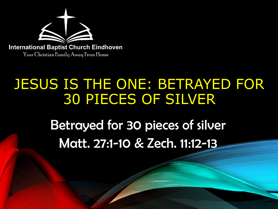

# JESUS IS THE ONE: BETRAYED FOR 30 PIECES OF SILVER

Betrayed for 30 pieces of silver Matt. 27:1-10 & Zech. 11:12-13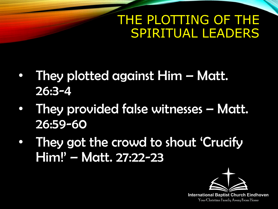### THE PLOTTING OF THE SPIRITUAL LEADERS

- They plotted against Him Matt. 26:3-4
- They provided false witnesses Matt. 26:59-60
- They got the crowd to shout 'Crucify Him!' – Matt. 27:22-23

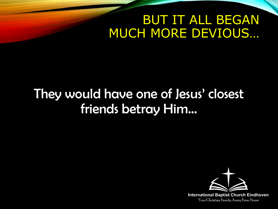#### BUT IT ALL BEGAN MUCH MORE DEVIOUS…

# They would have one of Jesus' closest friends betray Him…

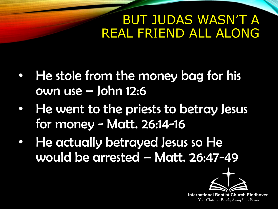#### BUT JUDAS WASN'T A REAL FRIEND ALL ALONG

- He stole from the money bag for his own use – John 12:6
- He went to the priests to betray Jesus for money - Matt. 26:14-16
- He actually betrayed Jesus so He would be arrested – Matt. 26:47-49

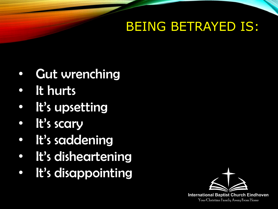# BEING BETRAYED IS:

- Gut wrenching
- It hurts
- It's upsetting
- It's scary
- It's saddening
- It's disheartening
- It's disappointing

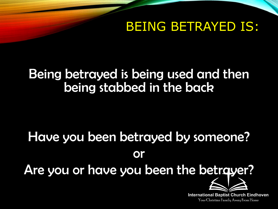BEING BETRAYED IS:

#### Being betrayed is being used and then being stabbed in the back

# Have you been betrayed by someone? or Are you or have you been the betrayer?

**International Baptist Church Eindhoven** Your Christian Family Away From Home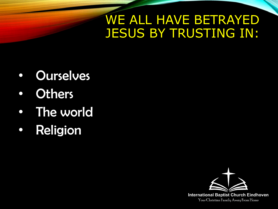#### WE ALL HAVE BETRAYED JESUS BY TRUSTING IN:

- Ourselves
- Others
- The world
- Religion

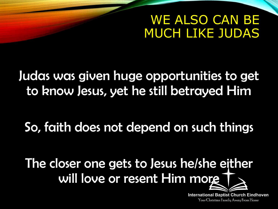#### WE ALSO CAN BE MUCH LIKE JUDAS

Judas was given huge opportunities to get to know Jesus, yet he still betrayed Him

So, faith does not depend on such things

The closer one gets to Jesus he/she either will love or resent Him more

> **International Baptist Church Eindhoven** Your Christian Family Away From Home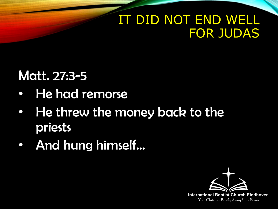## IT DID NOT END WELL FOR JUDAS

# Matt. 27:3-5

- He had remorse
- He threw the money back to the priests
- And hung himself…

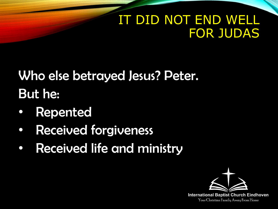# IT DID NOT END WELL FOR JUDAS

# Who else betrayed Jesus? Peter. But he:

- **Repented**
- Received forgiveness
- Received life and ministry

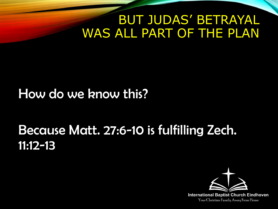#### BUT JUDAS' BETRAYAL WAS ALL PART OF THE PLAN

#### How do we know this?

# Because Matt. 27:6-10 is fulfilling Zech. 11:12-13